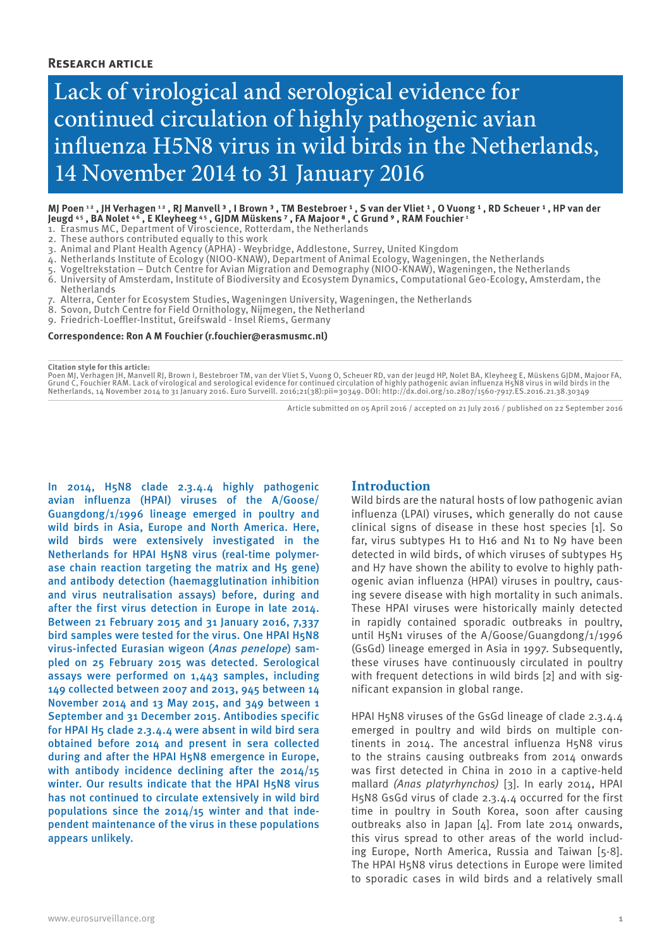## **Research article**

# Lack of virological and serological evidence for continued circulation of highly pathogenic avian influenza H5N8 virus in wild birds in the Netherlands, 14 November 2014 to 31 January 2016

#### MJ Poen 12 , JH Verhagen 12 , RJ Manvell <sup>3</sup> , I Brown <sup>3</sup> , TM Bestebroer 1 , S van der Vliet 1 , O Vuong 1 , RD Scheuer 1 , HP van der **Jeugd 4 5 , BA Nolet 4 6 , E Kleyheeg 4 5 , GJDM Müskens ⁷ , FA Majoor ⁸ , C Grund ⁹ , RAM Fouchier 1**

1. Erasmus MC, Department of Viroscience, Rotterdam, the Netherlands

2. These authors contributed equally to this work

- 3. Animal and Plant Health Agency (APHA) Weybridge, Addlestone, Surrey, United Kingdom
- 4. Netherlands Institute of Ecology (NIOO-KNAW), Department of Animal Ecology, Wageningen, the Netherlands
- 5. Vogeltrekstation Dutch Centre for Avian Migration and Demography (NIOO-KNAW), Wageningen, the Netherlands
- 6. University of Amsterdam, Institute of Biodiversity and Ecosystem Dynamics, Computational Geo-Ecology, Amsterdam, the Netherlands
- 7. Alterra, Center for Ecosystem Studies, Wageningen University, Wageningen, the Netherlands
- 8. Sovon, Dutch Centre for Field Ornithology, Nijmegen, the Netherland
- 9. Friedrich-Loeffler-Institut, Greifswald Insel Riems, Germany

#### **Correspondence: Ron A M Fouchier (r.fouchier@erasmusmc.nl)**

**Citation style for this article:**

Poen MJ, Verhagen JH, Manvell RJ, Brown I, Bestebroer TM, van der Vliet S, Vuong O, Scheuer RD, van der Jeugd HP, Nolet BA, Kleyheeg E, Müskens GJDM, Majoor FA,<br>Grund C, Fouchier RAM. Lack of virological and serological ev Netherlands, 14 November 2014 to 31 January 2016. Euro Surveill. 2016;21(38):pii=30349. DOI: http://dx.doi.org/10.2807/1560-7917.ES.2016.21.38.30349

Article submitted on 05 April 2016 / accepted on 21 July 2016 / published on 22 September 2016

In 2014, H5N8 clade 2.3.4.4 highly pathogenic avian influenza (HPAI) viruses of the A/Goose/ Guangdong/1/1996 lineage emerged in poultry and wild birds in Asia, Europe and North America. Here, wild birds were extensively investigated in the Netherlands for HPAI H5N8 virus (real-time polymerase chain reaction targeting the matrix and H5 gene) and antibody detection (haemagglutination inhibition and virus neutralisation assays) before, during and after the first virus detection in Europe in late 2014. Between 21 February 2015 and 31 January 2016, 7,337 bird samples were tested for the virus. One HPAI H5N8 virus-infected Eurasian wigeon (*Anas penelope*) sampled on 25 February 2015 was detected. Serological assays were performed on 1,443 samples, including 149 collected between 2007 and 2013, 945 between 14 November 2014 and 13 May 2015, and 349 between 1 September and 31 December 2015. Antibodies specific for HPAI H5 clade 2.3.4.4 were absent in wild bird sera obtained before 2014 and present in sera collected during and after the HPAI H5N8 emergence in Europe, with antibody incidence declining after the 2014/15 winter. Our results indicate that the HPAI H5N8 virus has not continued to circulate extensively in wild bird populations since the 2014/15 winter and that independent maintenance of the virus in these populations appears unlikely.

## **Introduction**

Wild birds are the natural hosts of low pathogenic avian influenza (LPAI) viruses, which generally do not cause clinical signs of disease in these host species [1]. So far, virus subtypes H1 to H16 and N1 to N9 have been detected in wild birds, of which viruses of subtypes H5 and H7 have shown the ability to evolve to highly pathogenic avian influenza (HPAI) viruses in poultry, causing severe disease with high mortality in such animals. These HPAI viruses were historically mainly detected in rapidly contained sporadic outbreaks in poultry, until H5N1 viruses of the A/Goose/Guangdong/1/1996 (GsGd) lineage emerged in Asia in 1997. Subsequently, these viruses have continuously circulated in poultry with frequent detections in wild birds [2] and with significant expansion in global range.

HPAI H5N8 viruses of the GsGd lineage of clade 2.3.4.4 emerged in poultry and wild birds on multiple continents in 2014. The ancestral influenza H5N8 virus to the strains causing outbreaks from 2014 onwards was first detected in China in 2010 in a captive-held mallard *(Anas platyrhynchos)* [3]. In early 2014, HPAI H5N8 GsGd virus of clade 2.3.4.4 occurred for the first time in poultry in South Korea, soon after causing outbreaks also in Japan [4]. From late 2014 onwards, this virus spread to other areas of the world including Europe, North America, Russia and Taiwan [5-8]. The HPAI H5N8 virus detections in Europe were limited to sporadic cases in wild birds and a relatively small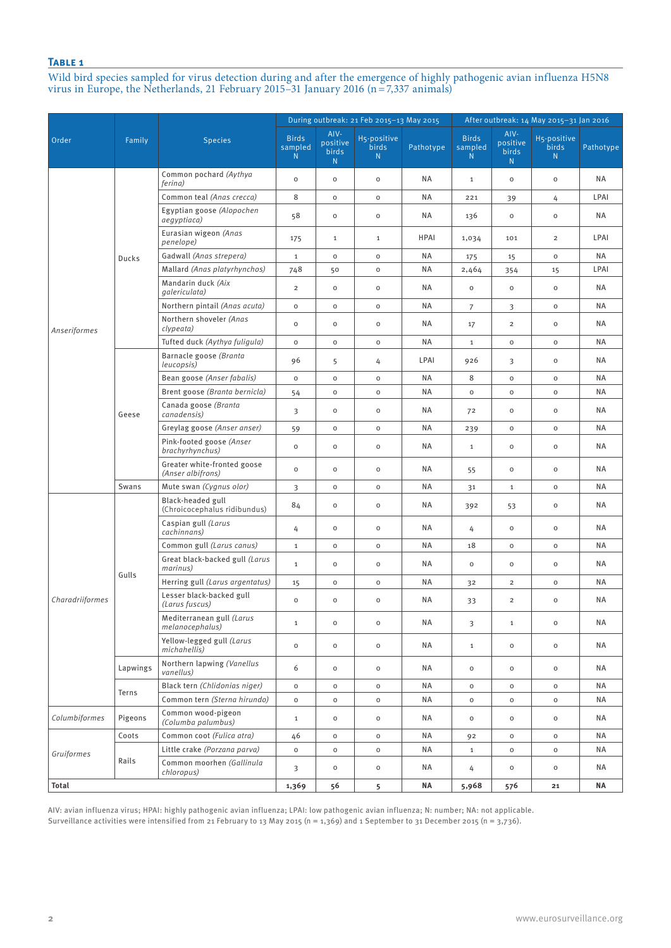Wild bird species sampled for virus detection during and after the emergence of highly pathogenic avian influenza H5N8 virus in Europe, the Netherlands, 21 February 2015–31 January 2016 (n=7,337 animals)

|                 |          |                                                   |                              |                                | During outbreak: 21 Feb 2015-13 May 2015 |             |                               |                                       | After outbreak: 14 May 2015-31 Jan 2016 |           |
|-----------------|----------|---------------------------------------------------|------------------------------|--------------------------------|------------------------------------------|-------------|-------------------------------|---------------------------------------|-----------------------------------------|-----------|
| Order           | Family   | <b>Species</b>                                    | <b>Birds</b><br>sampled<br>N | AIV-<br>positive<br>birds<br>N | H5-positive<br><b>birds</b><br>N.        | Pathotype   | <b>Birds</b><br>sampled<br>N. | AIV-<br>positive<br><b>birds</b><br>N | H5-positive<br><b>birds</b><br>N        | Pathotype |
|                 |          | Common pochard (Aythya<br>ferina)                 | $\mathsf{o}$                 | 0                              | $\mathsf{o}\xspace$                      | ΝA          | $\mathbf{1}$                  | $\mathsf{o}$                          | $\mathsf{o}\xspace$                     | ΝA        |
|                 |          | Common teal (Anas crecca)                         | 8                            | 0                              | $\mathsf{o}\xspace$                      | ΝA          | 221                           | 39                                    | 4                                       | LPAI      |
|                 |          | Egyptian goose (Alopochen<br>aegyptiaca)          | 58                           | 0                              | $\mathsf{o}\xspace$                      | ΝA          | 136                           | $\mathsf{o}\,$                        | $\mathsf{o}\xspace$                     | ΝA        |
|                 |          | Eurasian wigeon (Anas<br>penelope)                | 175                          | $\mathbf{1}$                   | $1\,$                                    | <b>HPAI</b> | 1,034                         | 101                                   | $\overline{2}$                          | LPAI      |
|                 | Ducks    | Gadwall (Anas strepera)                           | $\mathbf{1}$                 | $\mathsf{o}\,$                 | $\mathsf{o}\xspace$                      | NA          | 175                           | 15                                    | $\mathsf{O}\xspace$                     | ΝA        |
|                 |          | Mallard (Anas platyrhynchos)                      | 748                          | 50                             | $\mathsf{o}\xspace$                      | NA          | 2,464                         | 354                                   | 15                                      | LPAI      |
|                 |          | Mandarin duck (Aix<br>galericulata)               | $\overline{2}$               | $\circ$                        | $\mathsf{o}\xspace$                      | ΝA          | $\mathsf{o}$                  | $\mathsf{O}\xspace$                   | $\mathsf{o}\xspace$                     | NA.       |
|                 |          | Northern pintail (Anas acuta)                     | $\mathsf{o}\xspace$          | $\mathsf{o}\,$                 | $\mathsf{o}\xspace$                      | NA          | $\overline{7}$                | 3                                     | $\mathsf{o}\xspace$                     | ΝA        |
| Anseriformes    |          | Northern shoveler (Anas<br>clypeata)              | $\circ$                      | $\mathsf{o}\,$                 | $\mathsf{o}\xspace$                      | ΝA          | 17                            | $\overline{2}$                        | $\mathsf{o}\xspace$                     | ΝA        |
|                 |          | Tufted duck (Aythya fuligula)                     | $\mathsf{O}\xspace$          | $\mathsf{o}\,$                 | $\mathsf{o}$                             | ΝA          | $\mathbf{1}$                  | $\mathsf{O}\xspace$                   | $\mathsf{o}\xspace$                     | ΝA        |
|                 |          | Barnacle goose (Branta<br>leucopsis)              | 96                           | 5                              | 4                                        | LPAI        | 926                           | 3                                     | $\mathsf{o}$                            | <b>NA</b> |
|                 | Geese    | Bean goose (Anser fabalis)                        | $\mathsf{o}\,$               | $\mathsf{o}\,$                 | $\mathsf{o}\xspace$                      | ΝA          | 8                             | $\mathsf{O}\xspace$                   | $\mathsf{o}\xspace$                     | NA        |
|                 |          | Brent goose (Branta bernicla)                     | 54                           | $\mathsf{o}\,$                 | $\mathsf{o}\xspace$                      | ΝA          | $\mathsf{o}\xspace$           | $\mathsf{O}\xspace$                   | $\mathsf{o}\xspace$                     | ΝA        |
|                 |          | Canada goose (Branta<br>canadensis)               | 3                            | $\mathsf{o}\,$                 | $\mathsf{o}\xspace$                      | ΝA          | 72                            | $\mathsf{O}\xspace$                   | $\mathsf{o}\xspace$                     | ΝA        |
|                 |          | Greylag goose (Anser anser)                       | 59                           | $\mathsf{o}\,$                 | $\mathsf{o}\xspace$                      | ΝA          | 239                           | $\mathsf{o}\,$                        | $\mathsf{o}\xspace$                     | <b>NA</b> |
|                 |          | Pink-footed goose (Anser<br>brachyrhynchus)       | $\circ$                      | $\circ$                        | $\mathsf{o}\xspace$                      | ΝA          | $\mathbf{1}$                  | $\mathsf{o}\,$                        | $\mathsf{o}\xspace$                     | ΝA        |
|                 |          | Greater white-fronted goose<br>(Anser albifrons)  | $\mathsf{o}$                 | $\circ$                        | $\mathsf{o}\xspace$                      | ΝA          | 55                            | $\mathsf{O}\xspace$                   | $\mathsf{o}\xspace$                     | <b>NA</b> |
|                 | Swans    | Mute swan (Cygnus olor)                           | 3                            | $\circ$                        | $\mathsf{o}\xspace$                      | ΝA          | 31                            | $\mathbf{1}$                          | $\mathsf{o}\xspace$                     | ΝA        |
|                 |          | Black-headed gull<br>(Chroicocephalus ridibundus) | 84                           | $\circ$                        | $\mathsf{o}\xspace$                      | ΝA          | 392                           | 53                                    | $\mathsf{o}\xspace$                     | ΝA        |
|                 |          | Caspian gull (Larus<br>cachinnans)                | 4                            | $\mathsf{o}\,$                 | $\mathsf{o}\xspace$                      | ΝA          | 4                             | $\mathsf{O}\xspace$                   | $\mathsf{o}\xspace$                     | ΝA        |
|                 |          | Common gull (Larus canus)                         | $\mathbf{1}$                 | $\mathsf{o}\,$                 | $\mathsf{o}\xspace$                      | ΝA          | 18                            | $\mathsf{O}\xspace$                   | $\mathsf{o}\xspace$                     | ΝA        |
| Charadriiformes | Gulls    | Great black-backed gull (Larus<br>marinus)        | $\mathbf 1$                  | $\circ$                        | $\mathsf{o}\xspace$                      | ΝA          | $\mathsf{o}\xspace$           | $\mathsf{O}\xspace$                   | $\mathsf{O}\xspace$                     | ΝA        |
|                 |          | Herring gull (Larus argentatus)                   | 15                           | $\mathsf{o}\,$                 | $\mathsf{o}\xspace$                      | ΝA          | 32                            | $\overline{2}$                        | $\mathsf{o}\xspace$                     | ΝA        |
|                 |          | Lesser black-backed gull<br>(Larus fuscus)        | $\mathsf{o}$                 | $\circ$                        | $\mathsf{o}\xspace$                      | ΝA          | 33                            | $\overline{2}$                        | $\mathsf{o}\xspace$                     | <b>NA</b> |
|                 |          | Mediterranean gull (Larus<br>melanocephalus)      | $\mathbf 1$                  | $\mathsf{o}$                   | $\mathsf{o}$                             | NA          | $\overline{\mathbf{3}}$       | $\mathbf{1}$                          | $\mathsf{o}$                            | ΝA        |
|                 |          | Yellow-legged gull (Larus<br>michahellis)         | $\mathsf{o}$                 | 0                              | $\mathsf{o}\xspace$                      | ΝA          | $\mathbf{1}$                  | $\circ$                               | $\mathsf{O}\xspace$                     | NA        |
|                 | Lapwings | Northern lapwing (Vanellus<br>vanellus)           | 6                            | $\mathsf{o}\,$                 | $\mathsf{o}$                             | ΝA          | $\mathsf{o}\,$                | $\mathsf{O}\xspace$                   | $\mathsf{o}$                            | ΝA        |
|                 |          | Black tern (Chlidonias niger)                     | $\mathsf{o}\xspace$          | $\mathsf{o}\,$                 | $\mathsf{o}$                             | ΝA          | $\mathsf{o}\xspace$           | $\mathsf{O}\xspace$                   | $\mathsf{o}\,$                          | ΝA        |
|                 | Terns    | Common tern (Sterna hirundo)                      | $\mathsf{o}\xspace$          | $\mathsf{o}\,$                 | $\mathsf{o}$                             | ΝA          | $\mathsf{o}\xspace$           | $\mathsf{o}\xspace$                   | $\mathsf{o}\,$                          | ΝA        |
| Columbiformes   | Pigeons  | Common wood-pigeon<br>(Columba palumbus)          | $\mathbf 1$                  | $\circ$                        | $\mathsf{o}$                             | ΝA          | $\mathsf{o}\xspace$           | $\mathsf{O}\xspace$                   | $\mathsf{o}\xspace$                     | ΝA        |
|                 | Coots    | Common coot (Fulica atra)                         | 46                           | 0                              | $\mathsf{o}\,$                           | ΝA          | 92                            | $\mathsf{o}\,$                        | $\mathsf{O}\xspace$                     | ΝA        |
| Gruiformes      |          | Little crake (Porzana parva)                      | $\mathsf{o}\,$               | $\mathsf{o}\,$                 | $\mathsf{o}\,$                           | ΝA          | $\mathbf{1}$                  | $\mathsf{O}\xspace$                   | $\mathsf{o}\,$                          | ΝA        |
|                 | Rails    | Common moorhen (Gallinula<br>chloropus)           | 3                            | $\mathsf{o}\,$                 | $\mathsf{o}$                             | ΝA          | 4                             | $\mathsf{o}\xspace$                   | $\mathsf{o}\xspace$                     | NA        |
| Total           |          |                                                   | 1,369                        | 56                             | 5                                        | ΝA          | 5,968                         | 576                                   | 21                                      | ΝA        |

AIV: avian influenza virus; HPAI: highly pathogenic avian influenza; LPAI: low pathogenic avian influenza; N: number; NA: not applicable. Surveillance activities were intensified from 21 February to 13 May 2015 (n = 1,369) and 1 September to 31 December 2015 (n = 3,736).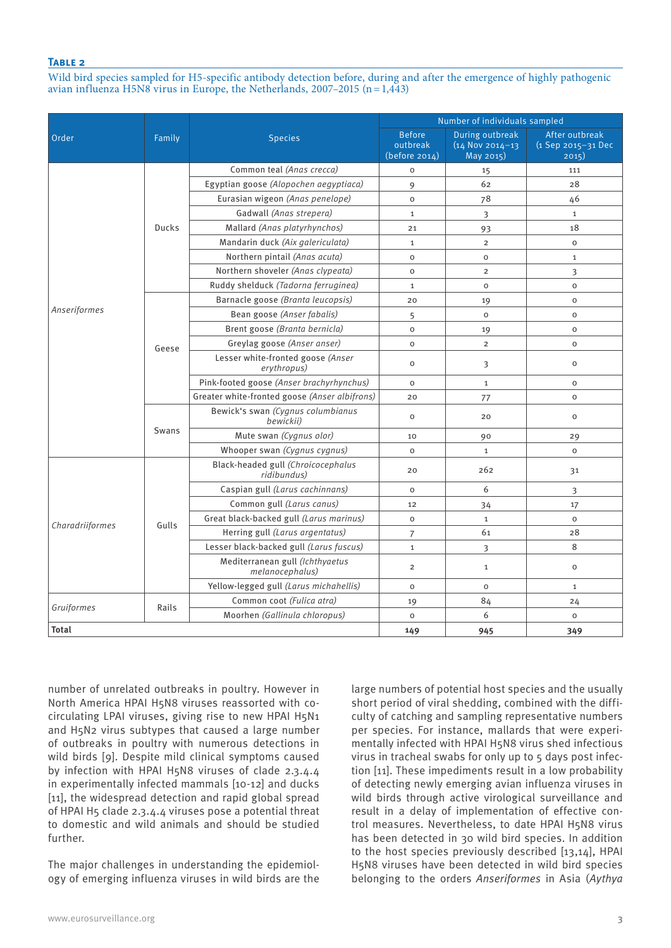Wild bird species sampled for H5-specific antibody detection before, during and after the emergence of highly pathogenic avian influenza H5N8 virus in Europe, the Netherlands,  $2007-2015$  (n = 1,443)

|                     |        |                                                    | Number of individuals sampled              |                                                                                                                                                                                                                                                                                                                                                                                                    |                                               |  |  |  |  |  |
|---------------------|--------|----------------------------------------------------|--------------------------------------------|----------------------------------------------------------------------------------------------------------------------------------------------------------------------------------------------------------------------------------------------------------------------------------------------------------------------------------------------------------------------------------------------------|-----------------------------------------------|--|--|--|--|--|
| Order               | Family | <b>Species</b>                                     | <b>Before</b><br>outbreak<br>(before 2014) | During outbreak<br>$(14$ Nov 2014-13<br>May 2015)                                                                                                                                                                                                                                                                                                                                                  | After outbreak<br>(1 Sep 2015-31 Dec<br>2015) |  |  |  |  |  |
|                     |        | Common teal (Anas crecca)                          | $\mathsf{o}$                               | 15                                                                                                                                                                                                                                                                                                                                                                                                 | 111                                           |  |  |  |  |  |
|                     |        | Egyptian goose (Alopochen aegyptiaca)              | 9                                          | 62                                                                                                                                                                                                                                                                                                                                                                                                 | 28                                            |  |  |  |  |  |
|                     |        | Eurasian wigeon (Anas penelope)                    | $\mathsf{o}$                               | 78                                                                                                                                                                                                                                                                                                                                                                                                 | 46                                            |  |  |  |  |  |
|                     |        | Gadwall (Anas strepera)                            | $\mathbf{1}$                               | 3                                                                                                                                                                                                                                                                                                                                                                                                  | $\mathbf{1}$                                  |  |  |  |  |  |
|                     | Ducks  | Mallard (Anas platyrhynchos)                       | 21                                         | 93                                                                                                                                                                                                                                                                                                                                                                                                 | 18                                            |  |  |  |  |  |
|                     |        | Mandarin duck (Aix galericulata)                   | $\mathbf{1}$                               | $\overline{2}$                                                                                                                                                                                                                                                                                                                                                                                     | $\mathsf{o}\xspace$                           |  |  |  |  |  |
|                     |        | Northern pintail (Anas acuta)                      | $\mathsf{o}$                               | $\mathsf{o}$                                                                                                                                                                                                                                                                                                                                                                                       | $\mathbf{1}$                                  |  |  |  |  |  |
| <b>Anseriformes</b> |        | Northern shoveler (Anas clypeata)                  | $\mathsf{o}$                               | $\overline{2}$                                                                                                                                                                                                                                                                                                                                                                                     | 3                                             |  |  |  |  |  |
|                     |        | Ruddy shelduck (Tadorna ferruginea)                | $\mathbf{1}$                               | $\mathsf{o}$                                                                                                                                                                                                                                                                                                                                                                                       | $\circ$                                       |  |  |  |  |  |
|                     |        | Barnacle goose (Branta leucopsis)                  | 20                                         | 19<br>$\circ$<br>$\circ$<br>$\mathbf 0$<br>19<br>$\mathbf 0$<br>$\overline{2}$<br>$\circ$<br>3<br>$\circ$<br>$\mathbf{1}$<br>$\mathsf O$<br>$\mathsf{o}$<br>77<br>$\circ$<br>20<br>90<br>29<br>$\mathbf{1}$<br>$\mathsf{o}$<br>262<br>31<br>6<br>3<br>34<br>17<br>$\mathbf{1}$<br>$\mathsf{o}\xspace$<br>28<br>61<br>8<br>3<br>$\mathbf{1}$<br>$\circ$<br>$\mathsf{o}$<br>$\mathbf{1}$<br>84<br>24 |                                               |  |  |  |  |  |
|                     |        | Bean goose (Anser fabalis)                         | 5                                          |                                                                                                                                                                                                                                                                                                                                                                                                    |                                               |  |  |  |  |  |
|                     |        | Brent goose (Branta bernicla)                      | $\overline{O}$                             |                                                                                                                                                                                                                                                                                                                                                                                                    |                                               |  |  |  |  |  |
|                     | Geese  | Greylag goose (Anser anser)                        | $\Omega$                                   |                                                                                                                                                                                                                                                                                                                                                                                                    |                                               |  |  |  |  |  |
|                     |        | Lesser white-fronted goose (Anser<br>erythropus)   | $\mathsf{o}$                               |                                                                                                                                                                                                                                                                                                                                                                                                    |                                               |  |  |  |  |  |
|                     |        | Pink-footed goose (Anser brachyrhynchus)           | $\mathsf{o}$                               |                                                                                                                                                                                                                                                                                                                                                                                                    |                                               |  |  |  |  |  |
|                     |        | Greater white-fronted goose (Anser albifrons)      | 20                                         |                                                                                                                                                                                                                                                                                                                                                                                                    |                                               |  |  |  |  |  |
|                     |        | Bewick's swan (Cygnus columbianus<br>bewickii)     | $\mathsf{o}$                               |                                                                                                                                                                                                                                                                                                                                                                                                    |                                               |  |  |  |  |  |
|                     | Swans  | Mute swan (Cygnus olor)                            | 10                                         |                                                                                                                                                                                                                                                                                                                                                                                                    |                                               |  |  |  |  |  |
|                     |        | Whooper swan (Cygnus cygnus)                       | $\mathsf{o}$                               |                                                                                                                                                                                                                                                                                                                                                                                                    |                                               |  |  |  |  |  |
|                     |        | Black-headed gull (Chroicocephalus<br>ridibundus)  | 20                                         |                                                                                                                                                                                                                                                                                                                                                                                                    |                                               |  |  |  |  |  |
|                     |        | Caspian gull (Larus cachinnans)                    | $\mathsf{o}$                               | $\mathsf{o}\xspace$<br>$\overline{7}$<br>$\mathbf{1}$<br>$\overline{2}$<br>$\mathsf{o}$<br>6<br>$\mathsf{o}$<br>945                                                                                                                                                                                                                                                                                |                                               |  |  |  |  |  |
|                     |        | Common gull (Larus canus)                          | 12                                         |                                                                                                                                                                                                                                                                                                                                                                                                    |                                               |  |  |  |  |  |
|                     | Gulls  | Great black-backed gull (Larus marinus)            |                                            |                                                                                                                                                                                                                                                                                                                                                                                                    |                                               |  |  |  |  |  |
| Charadriiformes     |        | Herring gull (Larus argentatus)                    |                                            |                                                                                                                                                                                                                                                                                                                                                                                                    |                                               |  |  |  |  |  |
|                     |        | Lesser black-backed gull (Larus fuscus)            |                                            |                                                                                                                                                                                                                                                                                                                                                                                                    |                                               |  |  |  |  |  |
|                     |        | Mediterranean gull (Ichthyaetus<br>melanocephalus) | 19<br>149                                  |                                                                                                                                                                                                                                                                                                                                                                                                    |                                               |  |  |  |  |  |
|                     |        | Yellow-legged gull (Larus michahellis)             |                                            |                                                                                                                                                                                                                                                                                                                                                                                                    |                                               |  |  |  |  |  |
| Gruiformes          | Rails  | Common coot (Fulica atra)                          |                                            |                                                                                                                                                                                                                                                                                                                                                                                                    |                                               |  |  |  |  |  |
|                     |        | Moorhen (Gallinula chloropus)                      |                                            |                                                                                                                                                                                                                                                                                                                                                                                                    | $\mathsf{o}\xspace$                           |  |  |  |  |  |
| <b>Total</b>        |        |                                                    |                                            |                                                                                                                                                                                                                                                                                                                                                                                                    | 349                                           |  |  |  |  |  |

number of unrelated outbreaks in poultry. However in North America HPAI H5N8 viruses reassorted with cocirculating LPAI viruses, giving rise to new HPAI H5N1 and H5N2 virus subtypes that caused a large number of outbreaks in poultry with numerous detections in wild birds [9]. Despite mild clinical symptoms caused by infection with HPAI H5N8 viruses of clade 2.3.4.4 in experimentally infected mammals [10-12] and ducks [11], the widespread detection and rapid global spread of HPAI H5 clade 2.3.4.4 viruses pose a potential threat to domestic and wild animals and should be studied further.

The major challenges in understanding the epidemiology of emerging influenza viruses in wild birds are the large numbers of potential host species and the usually short period of viral shedding, combined with the difficulty of catching and sampling representative numbers per species. For instance, mallards that were experimentally infected with HPAI H5N8 virus shed infectious virus in tracheal swabs for only up to 5 days post infection [11]. These impediments result in a low probability of detecting newly emerging avian influenza viruses in wild birds through active virological surveillance and result in a delay of implementation of effective control measures. Nevertheless, to date HPAI H5N8 virus has been detected in 30 wild bird species. In addition to the host species previously described [13,14], HPAI H5N8 viruses have been detected in wild bird species belonging to the orders *Anseriformes* in Asia (*Aythya*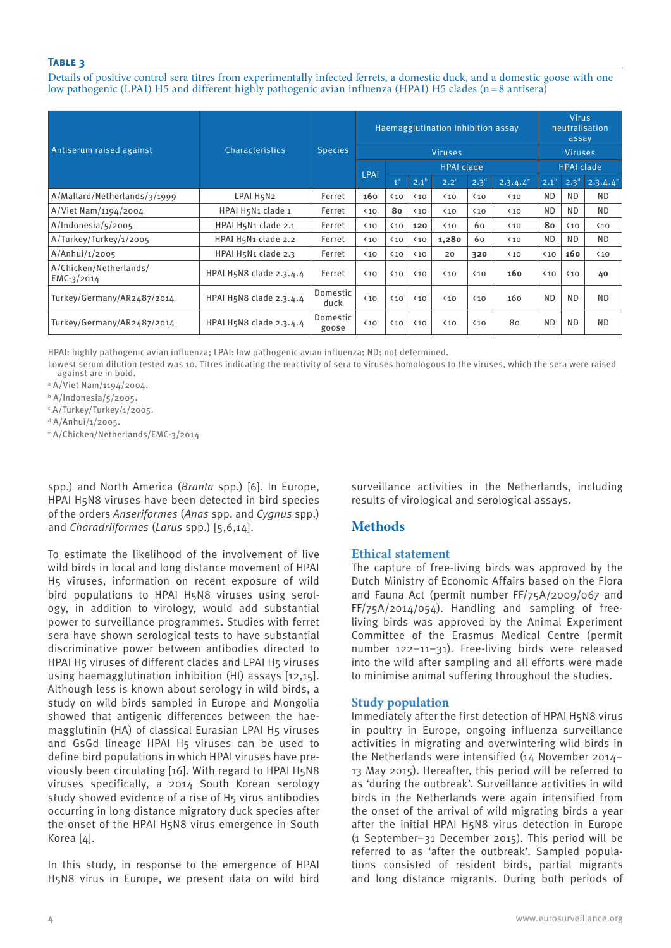Details of positive control sera titres from experimentally infected ferrets, a domestic duck, and a domestic goose with one low pathogenic (LPAI) H5 and different highly pathogenic avian influenza (HPAI) H5 clades (n=8 antisera)

|                                        |                         |                   |              | Haemagglutination inhibition assay | <b>Virus</b><br>neutralisation<br>assay |                   |                   |               |              |                  |               |
|----------------------------------------|-------------------------|-------------------|--------------|------------------------------------|-----------------------------------------|-------------------|-------------------|---------------|--------------|------------------|---------------|
| Antiserum raised against               | Characteristics         | <b>Species</b>    |              |                                    | <b>Viruses</b>                          |                   | <b>Viruses</b>    |               |              |                  |               |
|                                        |                         |                   | <b>LPAI</b>  |                                    |                                         | <b>HPAI clade</b> | <b>HPAI clade</b> |               |              |                  |               |
|                                        |                         |                   |              | 1 <sup>a</sup>                     | $2.1^{b}$                               | $2.2^c$           | $2.3^{d}$         | $2.3.4.4^{e}$ | $2.1^{b}$    | 2.3 <sup>d</sup> | $2.3.4.4^{e}$ |
| A/Mallard/Netherlands/3/1999           | LPAI H5N2               | Ferret            | 160          | $10$                               | $\langle 10$                            | $10$              | $\langle 10$      | $\langle 10$  | <b>ND</b>    | <b>ND</b>        | <b>ND</b>     |
| A/Viet Nam/1194/2004                   | HPAI H5N1 clade 1       | Ferret            | $\langle 10$ | 80                                 | $10$                                    | $10$              | $\langle 10$      | $\langle 10$  | <b>ND</b>    | <b>ND</b>        | <b>ND</b>     |
| A/Indonesia/s/2005                     | HPAI H5N1 clade 2.1     | Ferret            | $10$         | $\langle 10$                       | 120                                     | $10$              | 60                | $10$          | 80           | $\langle 10$     | $\langle 10$  |
| A/Turkey/Turkey/1/2005                 | HPAI H5N1 clade 2.2     | Ferret            | $\langle 10$ | $\langle 10$                       | $\langle 10$                            | 1,280             | 60                | $10$          | <b>ND</b>    | <b>ND</b>        | ND.           |
| A/Anhui/1/2005                         | HPAI H5N1 clade 2.3     | Ferret            | $\langle 10$ | $\langle 10$                       | $10$                                    | 20                | 320               | $10$          | $\langle 10$ | 160              | $\langle 10$  |
| A/Chicken/Netherlands/<br>$EMC-3/2014$ | HPAI H5N8 clade 2.3.4.4 | Ferret            | $10$         | $\langle 10$                       | $10$                                    | $\langle 10$      | $10$              | 160           | $\langle 10$ | $\langle 10$     | 40            |
| Turkey/Germany/AR2487/2014             | HPAI H5N8 clade 2.3.4.4 | Domestic<br>duck  | $\langle 10$ | $10$                               | $\langle 10$                            | $10$              | $\langle 10$      | 160           | <b>ND</b>    | <b>ND</b>        | <b>ND</b>     |
| Turkey/Germany/AR2487/2014             | HPAI H5N8 clade 2.3.4.4 | Domestic<br>goose | $\langle 10$ | $\langle 10$                       | $\langle 10$                            | $\langle 10$      | $\langle 10$      | 80            | <b>ND</b>    | <b>ND</b>        | <b>ND</b>     |

HPAI: highly pathogenic avian influenza; LPAI: low pathogenic avian influenza; ND: not determined.

Lowest serum dilution tested was 10. Titres indicating the reactivity of sera to viruses homologous to the viruses, which the sera were raised against are in bold.

a A/Viet Nam/1194/2004.

b A/Indonesia/5/2005.

c A/Turkey/Turkey/1/2005.

<sup>d</sup> A/Anhui/1/2005.

e A/Chicken/Netherlands/EMC-3/2014

spp.) and North America (*Branta* spp.) [6]. In Europe, HPAI H5N8 viruses have been detected in bird species of the orders *Anseriformes* (*Anas* spp. and *Cygnus* spp.) and *Charadriiformes* (*Larus* spp.) [5,6,14].

To estimate the likelihood of the involvement of live wild birds in local and long distance movement of HPAI H5 viruses, information on recent exposure of wild bird populations to HPAI H5N8 viruses using serology, in addition to virology, would add substantial power to surveillance programmes. Studies with ferret sera have shown serological tests to have substantial discriminative power between antibodies directed to HPAI H5 viruses of different clades and LPAI H5 viruses using haemagglutination inhibition (HI) assays [12,15]. Although less is known about serology in wild birds, a study on wild birds sampled in Europe and Mongolia showed that antigenic differences between the haemagglutinin (HA) of classical Eurasian LPAI H5 viruses and GsGd lineage HPAI H5 viruses can be used to define bird populations in which HPAI viruses have previously been circulating [16]. With regard to HPAI H5N8 viruses specifically, a 2014 South Korean serology study showed evidence of a rise of H5 virus antibodies occurring in long distance migratory duck species after the onset of the HPAI H5N8 virus emergence in South Korea [4].

In this study, in response to the emergence of HPAI H5N8 virus in Europe, we present data on wild bird

surveillance activities in the Netherlands, including results of virological and serological assays.

# **Methods**

# **Ethical statement**

The capture of free-living birds was approved by the Dutch Ministry of Economic Affairs based on the Flora and Fauna Act (permit number FF/75A/2009/067 and FF/75A/2014/054). Handling and sampling of freeliving birds was approved by the Animal Experiment Committee of the Erasmus Medical Centre (permit number 122–11–31). Free-living birds were released into the wild after sampling and all efforts were made to minimise animal suffering throughout the studies.

# **Study population**

Immediately after the first detection of HPAI H5N8 virus in poultry in Europe, ongoing influenza surveillance activities in migrating and overwintering wild birds in the Netherlands were intensified (14 November 2014– 13 May 2015). Hereafter, this period will be referred to as 'during the outbreak'. Surveillance activities in wild birds in the Netherlands were again intensified from the onset of the arrival of wild migrating birds a year after the initial HPAI H5N8 virus detection in Europe (1 September–31 December 2015). This period will be referred to as 'after the outbreak'. Sampled populations consisted of resident birds, partial migrants and long distance migrants. During both periods of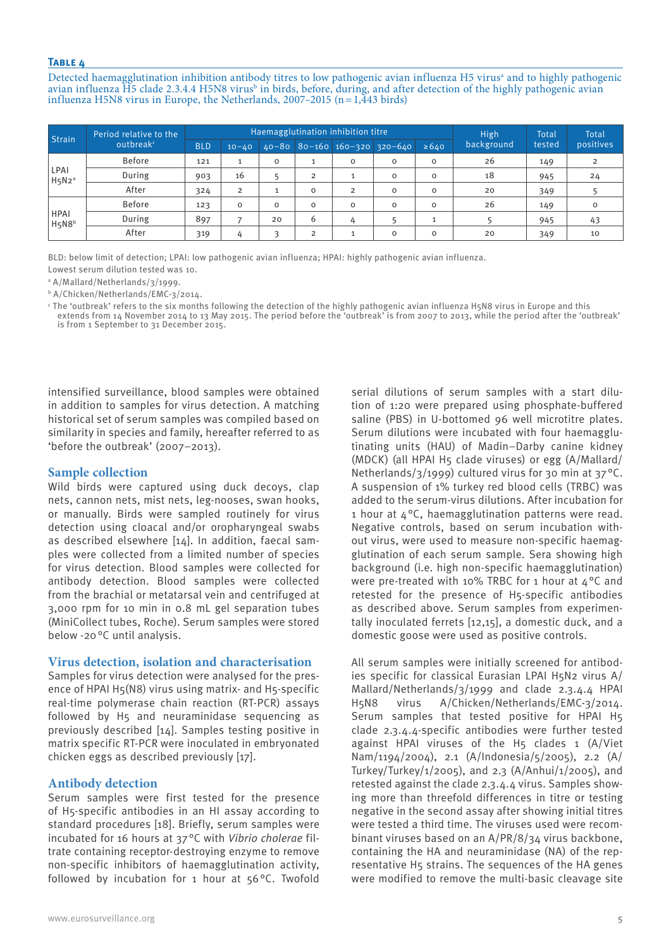Detected haemagglutination inhibition antibody titres to low pathogenic avian influenza H5 virus<sup>a</sup> and to highly pathogenic avian influenza H5 clade 2.3.4.4 H5N8 virus<sup>b</sup> in birds, before, during, and after detection of the highly pathogenic avian influenza H5N8 virus in Europe, the Netherlands, 2007–2015 (n =  $1,\overline{4}43$  birds)

| Strain                                        | Period relative to the |            |                |             |                | <b>High</b>                                                                                                                                                       | Total      | <b>Total</b> |        |           |
|-----------------------------------------------|------------------------|------------|----------------|-------------|----------------|-------------------------------------------------------------------------------------------------------------------------------------------------------------------|------------|--------------|--------|-----------|
|                                               | outbreak <sup>c</sup>  | <b>BLD</b> | $10 - 40$      |             |                | <b>Haemagglutination inhibition titre</b><br>$40 - 80$ 80-160 160-320 320-640<br>0<br>0<br>$\Omega$<br>$\overline{2}$<br>$\mathbf 0$<br>0<br>$\Omega$<br>$\Omega$ | $\geq 640$ | background   | tested | positives |
|                                               | <b>Before</b>          | 121        |                | $\mathbf 0$ | л              |                                                                                                                                                                   | 0          | 26           | 149    |           |
| LPAI<br>H5N2 <sup>a</sup>                     | During                 | 903        | 16             |             | $\overline{2}$ |                                                                                                                                                                   | 0          | 18           | 945    | 24        |
|                                               | After                  | 324        | $\overline{2}$ |             | $\mathbf 0$    |                                                                                                                                                                   | 0          | 20           | 349    |           |
|                                               | <b>Before</b>          | 123        | $\Omega$       | $\circ$     | $\mathbf 0$    |                                                                                                                                                                   | 0          | 26           | 149    |           |
| <b>HPAI</b><br>H <sub>5</sub> N8 <sup>b</sup> | During                 | 897        |                | 20          | 6              |                                                                                                                                                                   |            |              | 945    | 43        |
|                                               | After                  | 319        | 4              | ς           | $\overline{2}$ |                                                                                                                                                                   | $\Omega$   | 20           | 349    | 10        |

BLD: below limit of detection; LPAI: low pathogenic avian influenza; HPAI: highly pathogenic avian influenza.

Lowest serum dilution tested was 10.

a A/Mallard/Netherlands/3/1999.

b A/Chicken/Netherlands/EMC-3/2014.

c The 'outbreak' refers to the six months following the detection of the highly pathogenic avian influenza H5N8 virus in Europe and this extends from 14 November 2014 to 13 May 2015. The period before the 'outbreak' is from 2007 to 2013, while the period after the 'outbreak' is from 1 September to 31 December 2015.

intensified surveillance, blood samples were obtained in addition to samples for virus detection. A matching historical set of serum samples was compiled based on similarity in species and family, hereafter referred to as 'before the outbreak' (2007–2013).

## **Sample collection**

Wild birds were captured using duck decoys, clap nets, cannon nets, mist nets, leg-nooses, swan hooks, or manually. Birds were sampled routinely for virus detection using cloacal and/or oropharyngeal swabs as described elsewhere [14]. In addition, faecal samples were collected from a limited number of species for virus detection. Blood samples were collected for antibody detection. Blood samples were collected from the brachial or metatarsal vein and centrifuged at 3,000 rpm for 10 min in 0.8 mL gel separation tubes (MiniCollect tubes, Roche). Serum samples were stored below -20°C until analysis.

## **Virus detection, isolation and characterisation**

Samples for virus detection were analysed for the presence of HPAI H5(N8) virus using matrix- and H5-specific real-time polymerase chain reaction (RT-PCR) assays followed by H5 and neuraminidase sequencing as previously described [14]. Samples testing positive in matrix specific RT-PCR were inoculated in embryonated chicken eggs as described previously [17].

# **Antibody detection**

Serum samples were first tested for the presence of H5-specific antibodies in an HI assay according to standard procedures [18]. Briefly, serum samples were incubated for 16 hours at 37°C with *Vibrio cholerae* filtrate containing receptor-destroying enzyme to remove non-specific inhibitors of haemagglutination activity, followed by incubation for 1 hour at 56°C. Twofold

tion of 1:20 were prepared using phosphate-buffered saline (PBS) in U-bottomed 96 well microtitre plates. Serum dilutions were incubated with four haemagglutinating units (HAU) of Madin–Darby canine kidney (MDCK) (all HPAI H5 clade viruses) or egg (A/Mallard/ Netherlands/3/1999) cultured virus for 30 min at 37 °C. A suspension of 1% turkey red blood cells (TRBC) was added to the serum-virus dilutions. After incubation for 1 hour at  $4^{\circ}$ C, haemagglutination patterns were read. Negative controls, based on serum incubation without virus, were used to measure non-specific haemagglutination of each serum sample. Sera showing high background (i.e. high non-specific haemagglutination) were pre-treated with 10% TRBC for 1 hour at  $4^{\circ}$ C and retested for the presence of H5-specific antibodies as described above. Serum samples from experimentally inoculated ferrets [12,15], a domestic duck, and a domestic goose were used as positive controls.

serial dilutions of serum samples with a start dilu-

All serum samples were initially screened for antibodies specific for classical Eurasian LPAI H5N2 virus A/ Mallard/Netherlands/3/1999 and clade 2.3.4.4 HPAI H5N8 virus A/Chicken/Netherlands/EMC-3/2014. Serum samples that tested positive for HPAI H5 clade 2.3.4.4-specific antibodies were further tested against HPAI viruses of the H5 clades 1 (A/Viet Nam/1194/2004), 2.1 (A/Indonesia/5/2005), 2.2 (A/ Turkey/Turkey/1/2005), and 2.3 (A/Anhui/1/2005), and retested against the clade 2.3.4.4 virus. Samples showing more than threefold differences in titre or testing negative in the second assay after showing initial titres were tested a third time. The viruses used were recombinant viruses based on an A/PR/8/34 virus backbone, containing the HA and neuraminidase (NA) of the representative H5 strains. The sequences of the HA genes were modified to remove the multi-basic cleavage site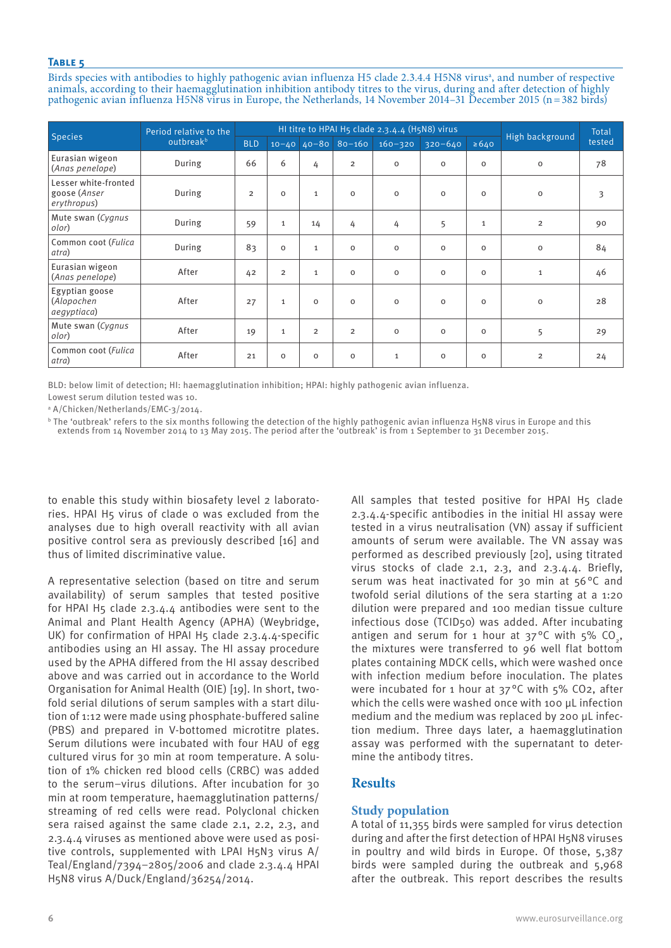Birds species with antibodies to highly pathogenic avian influenza H5 clade 2.3.4.4 H5N8 virus<sup>a</sup>, and number of respective animals, according to their haemagglutination inhibition antibody titres to the virus, during and after detection of highly pathogenic avian influenza H5N8 virus in Europe, the Netherlands, 14 November 2014–31 December 2015 (n=382 birds)

| <b>Species</b>                                      | Period relative to the |                |                | HI titre to HPAI H5 clade 2.3.4.4 (H5N8) virus |                        | High background | Total       |              |                |        |
|-----------------------------------------------------|------------------------|----------------|----------------|------------------------------------------------|------------------------|-----------------|-------------|--------------|----------------|--------|
|                                                     | outbreak <sup>b</sup>  | <b>BLD</b>     |                |                                                | $10-40$ $40-80$ 80-160 | $160 - 320$     | $320 - 640$ | $\ge 640$    |                | tested |
| Eurasian wigeon<br>(Anas penelope)                  | During                 | 66             | 6              | 4                                              | $\overline{2}$         | $\Omega$        | $\Omega$    | $\circ$      | $\mathbf 0$    | 78     |
| Lesser white-fronted<br>goose (Anser<br>erythropus) | During                 | $\overline{2}$ | $\circ$        | $\mathbf{1}$                                   | $\circ$                | $\circ$         | $\mathbf 0$ | $\circ$      | $\mathbf 0$    | 3      |
| Mute swan (Cygnus<br>olor)                          | During                 | 59             | $\mathbf{1}$   | 14                                             | 4                      | 4               | 5           | $\mathbf{1}$ | $\overline{2}$ | 90     |
| Common coot (Fulica<br>atra)                        | During                 | 83             | $\circ$        | $\mathbf{1}$                                   | $\Omega$               | $\circ$         | $\mathbf 0$ | $\circ$      | $\mathbf 0$    | 84     |
| Eurasian wigeon<br>(Anas penelope)                  | After                  | 42             | $\overline{2}$ | 1                                              | $\mathbf 0$            | $\mathbf 0$     | $\mathbf 0$ | $\mathbf 0$  | $\mathbf{1}$   | 46     |
| Egyptian goose<br>(Alopochen<br>aegyptiaca)         | After                  | 27             | $\mathbf{1}$   | $\Omega$                                       | $\Omega$               | $\Omega$        | $\Omega$    | $\Omega$     | $\mathbf 0$    | 28     |
| Mute swan (Cygnus<br>olor)                          | After                  | 19             | $\mathbf{1}$   | $\overline{2}$                                 | $\overline{2}$         | $\circ$         | $\mathbf 0$ | $\circ$      | 5              | 29     |
| Common coot (Fulica<br>atra)                        | After                  | 21             | $\circ$        | $\mathbf 0$                                    | $\Omega$               | $\mathbf{1}$    | $\mathbf 0$ | $\circ$      | $\overline{2}$ | 24     |

BLD: below limit of detection; HI: haemagglutination inhibition; HPAI: highly pathogenic avian influenza.

Lowest serum dilution tested was 10.

a A/Chicken/Netherlands/EMC-3/2014.

b The 'outbreak' refers to the six months following the detection of the highly pathogenic avian influenza H5N8 virus in Europe and this extends from 14 November 2014 to 13 May 2015. The period after the 'outbreak' is from 1 September to 31 December 2015.

to enable this study within biosafety level 2 laboratories. HPAI H5 virus of clade 0 was excluded from the analyses due to high overall reactivity with all avian positive control sera as previously described [16] and thus of limited discriminative value.

A representative selection (based on titre and serum availability) of serum samples that tested positive for HPAI H5 clade 2.3.4.4 antibodies were sent to the Animal and Plant Health Agency (APHA) (Weybridge, UK) for confirmation of HPAI H5 clade 2.3.4.4-specific antibodies using an HI assay. The HI assay procedure used by the APHA differed from the HI assay described above and was carried out in accordance to the World Organisation for Animal Health (OIE) [19]. In short, twofold serial dilutions of serum samples with a start dilution of 1:12 were made using phosphate-buffered saline (PBS) and prepared in V-bottomed microtitre plates. Serum dilutions were incubated with four HAU of egg cultured virus for 30 min at room temperature. A solution of 1% chicken red blood cells (CRBC) was added to the serum–virus dilutions. After incubation for 30 min at room temperature, haemagglutination patterns/ streaming of red cells were read. Polyclonal chicken sera raised against the same clade 2.1, 2.2, 2.3, and 2.3.4.4 viruses as mentioned above were used as positive controls, supplemented with LPAI H5N3 virus A/ Teal/England/7394–2805/2006 and clade 2.3.4.4 HPAI H5N8 virus A/Duck/England/36254/2014.

All samples that tested positive for HPAI H5 clade 2.3.4.4-specific antibodies in the initial HI assay were tested in a virus neutralisation (VN) assay if sufficient amounts of serum were available. The VN assay was performed as described previously [20], using titrated virus stocks of clade 2.1, 2.3, and 2.3.4.4. Briefly, serum was heat inactivated for 30 min at 56°C and twofold serial dilutions of the sera starting at a 1:20 dilution were prepared and 100 median tissue culture infectious dose (TCID50) was added. After incubating antigen and serum for 1 hour at  $37^{\circ}$ C with  $5\%$  CO, the mixtures were transferred to 96 well flat bottom plates containing MDCK cells, which were washed once with infection medium before inoculation. The plates were incubated for 1 hour at 37 °C with 5% CO2, after which the cells were washed once with 100 μL infection medium and the medium was replaced by 200 μL infection medium. Three days later, a haemagglutination assay was performed with the supernatant to determine the antibody titres.

# **Results**

# **Study population**

A total of 11,355 birds were sampled for virus detection during and after the first detection of HPAI H5N8 viruses in poultry and wild birds in Europe. Of those, 5,387 birds were sampled during the outbreak and 5,968 after the outbreak. This report describes the results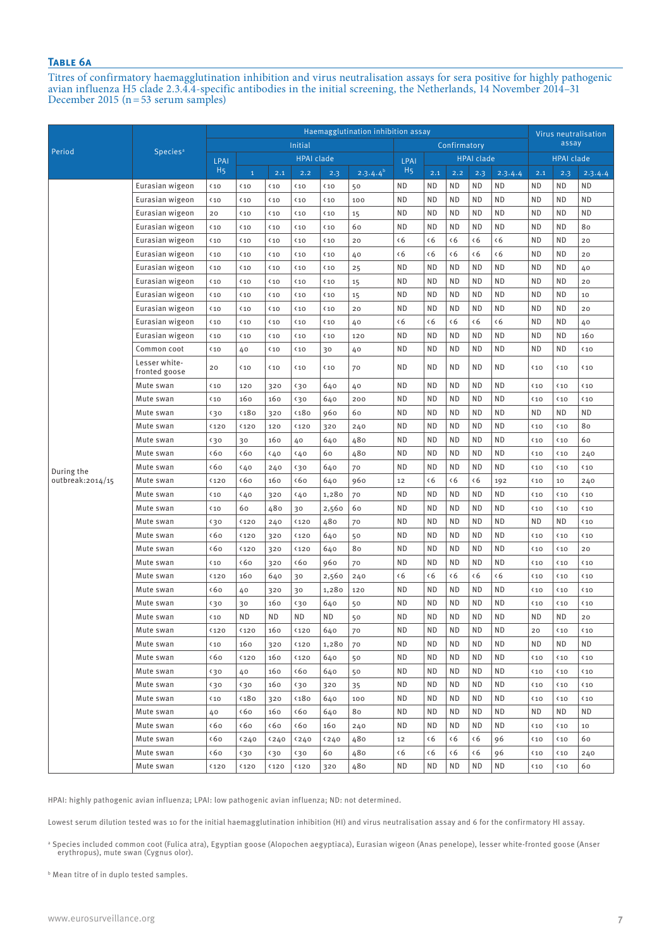# **Table 6a**

Titres of confirmatory haemagglutination inhibition and virus neutralisation assays for sera positive for highly pathogenic avian influenza H5 clade 2.3.4.4-specific antibodies in the initial screening, the Netherlands, 14 November 2014–31 December 2015 (n=53 serum samples)

|                  |                                | Haemagglutination inhibition assay |               |                |                   |                |               |                |             |             |                   | Virus neutralisation |              |                   |                 |
|------------------|--------------------------------|------------------------------------|---------------|----------------|-------------------|----------------|---------------|----------------|-------------|-------------|-------------------|----------------------|--------------|-------------------|-----------------|
| Period           |                                | Initial<br>Confirmatory            |               |                |                   |                |               |                |             |             |                   | assay                |              |                   |                 |
|                  | Species <sup>a</sup>           | <b>LPAI</b>                        |               |                | <b>HPAI clade</b> |                |               | <b>LPAI</b>    |             |             | <b>HPAI clade</b> |                      |              | <b>HPAI</b> clade |                 |
|                  |                                | H <sub>5</sub>                     | $\mathbf{1}$  | 2.1            | 2.2               | 2.3            | $2.3.4.4^{b}$ | H <sub>5</sub> | 2.1         | 2.2         | 2.3               | 2.3.4.4              | 2.1          | 2.3               | 2.3.4.4         |
|                  | Eurasian wigeon                | $10$                               | $10$          | $\langle 10$   | $\langle 10$      | $10$           | 50            | <b>ND</b>      | ND          | <b>ND</b>   | <b>ND</b>         | <b>ND</b>            | <b>ND</b>    | <b>ND</b>         | <b>ND</b>       |
|                  | Eurasian wigeon                | $10$                               | $10$          | $\langle 10$   | $10$              | $10$           | 100           | <b>ND</b>      | <b>ND</b>   | <b>ND</b>   | <b>ND</b>         | <b>ND</b>            | <b>ND</b>    | <b>ND</b>         | ND              |
|                  | Eurasian wigeon                | 20                                 | $10$          | $\langle 10$   | $10$              | $\langle 10$   | 15            | <b>ND</b>      | <b>ND</b>   | <b>ND</b>   | <b>ND</b>         | <b>ND</b>            | <b>ND</b>    | <b>ND</b>         | <b>ND</b>       |
|                  | Eurasian wigeon                | $10$                               | $10$          | $\langle 10$   | $\langle 10$      | $\langle 10$   | 60            | <b>ND</b>      | <b>ND</b>   | <b>ND</b>   | <b>ND</b>         | <b>ND</b>            | <b>ND</b>    | <b>ND</b>         | 80              |
|                  | Eurasian wigeon                | $10$                               | $10$          | $\langle 10$   | $\langle 10$      | $\langle 10$   | 20            | $\langle 6$    | $\langle 6$ | $\langle 6$ | $\zeta$           | $\langle 6$          | <b>ND</b>    | <b>ND</b>         | 20              |
|                  | Eurasian wigeon                | $10$                               | $10$          | $\langle 10$   | $\langle 10$      | $\langle 10$   | 40            | $\langle 6$    | $\langle 6$ | $\langle 6$ | $\langle 6$       | $\langle 6$          | <b>ND</b>    | <b>ND</b>         | 20              |
|                  | Eurasian wigeon                | $10$                               | $10$          | $\langle 10$   | $10$              | $10$           | 25            | <b>ND</b>      | <b>ND</b>   | <b>ND</b>   | <b>ND</b>         | <b>ND</b>            | <b>ND</b>    | <b>ND</b>         | 40              |
|                  | Eurasian wigeon                | $10$                               | $10$          | $\langle 10$   | $10$              | $10$           | 15            | <b>ND</b>      | <b>ND</b>   | <b>ND</b>   | <b>ND</b>         | <b>ND</b>            | <b>ND</b>    | <b>ND</b>         | 20              |
|                  | Eurasian wigeon                | $10$                               | $10$          | $\langle 10$   | $10$              | $10$           | 15            | <b>ND</b>      | <b>ND</b>   | <b>ND</b>   | <b>ND</b>         | <b>ND</b>            | <b>ND</b>    | <b>ND</b>         | 10              |
|                  | Eurasian wigeon                | $10$                               | $10$          | $\langle 10$   | $10$              | $10$           | 20            | <b>ND</b>      | <b>ND</b>   | <b>ND</b>   | <b>ND</b>         | <b>ND</b>            | <b>ND</b>    | <b>ND</b>         | 20              |
|                  | Eurasian wigeon                | $10$                               | $10$          | $\langle 10$   | $10$              | $10$           | 40            | $\langle 6$    | $\langle 6$ | $\langle 6$ | $\langle 6$       | $\langle 6$          | <b>ND</b>    | <b>ND</b>         | 40              |
|                  | Eurasian wigeon                | $10$                               | $10$          | $\langle 10$   | $10$              | $10$           | 120           | <b>ND</b>      | <b>ND</b>   | <b>ND</b>   | <b>ND</b>         | <b>ND</b>            | <b>ND</b>    | <b>ND</b>         | 160             |
|                  | Common coot                    | $10$                               | 40            | $\langle 10$   | $10$              | 30             | 40            | <b>ND</b>      | <b>ND</b>   | <b>ND</b>   | <b>ND</b>         | <b>ND</b>            | <b>ND</b>    | <b>ND</b>         | $\langle 10$    |
|                  | Lesser white-<br>fronted goose | 20                                 | $10$          | $\langle 10$   | $\langle$ 10      | $10$           | 70            | <b>ND</b>      | <b>ND</b>   | <b>ND</b>   | <b>ND</b>         | <b>ND</b>            | $10$         | $10$              | $10$            |
|                  | Mute swan                      | $10$                               | 120           | 320            | 430               | 640            | 40            | <b>ND</b>      | <b>ND</b>   | <b>ND</b>   | <b>ND</b>         | <b>ND</b>            | $10$         | $10$              | $10$            |
|                  | Mute swan                      | $10$                               | 160           | 160            | 430               | 640            | 200           | <b>ND</b>      | <b>ND</b>   | <b>ND</b>   | <b>ND</b>         | <b>ND</b>            | $10$         | $10$              | $\langle 10$    |
|                  | Mute swan                      | 430                                | <180          | 320            | <180              | 960            | 60            | <b>ND</b>      | <b>ND</b>   | <b>ND</b>   | <b>ND</b>         | <b>ND</b>            | <b>ND</b>    | <b>ND</b>         | <b>ND</b>       |
|                  | Mute swan                      | 〈120                               | 〈120          | 120            | 〈120              | 320            | 240           | <b>ND</b>      | <b>ND</b>   | <b>ND</b>   | <b>ND</b>         | <b>ND</b>            | $10$         | $10$              | 80              |
|                  | Mute swan                      | 430                                | 30            | 160            | 40                | 640            | 480           | <b>ND</b>      | <b>ND</b>   | <b>ND</b>   | <b>ND</b>         | <b>ND</b>            | $10$         | $10$              | 60              |
|                  | Mute swan                      | $\zeta$ 60                         | $\zeta$ 60    | 40             | 40                | 60             | 480           | <b>ND</b>      | <b>ND</b>   | <b>ND</b>   | <b>ND</b>         | <b>ND</b>            | $10$         | $10$              | 240             |
| During the       | Mute swan                      | $\zeta$ 60                         | 40            | 240            | 30                | 640            | 70            | <b>ND</b>      | <b>ND</b>   | <b>ND</b>   | <b>ND</b>         | <b>ND</b>            | $10$         | $10$              | $\langle 10$    |
| outbreak:2014/15 | Mute swan                      | 〈120                               | $\zeta$ 60    | 160            | $\zeta$ 60        | 640            | 960           | 12             | $\zeta$     | $\zeta$     | $\zeta$           | 192                  | $10$         | 10                | 240             |
|                  | Mute swan                      | $10$                               | 40            | 320            | (40)              | 1,280          | 70            | <b>ND</b>      | <b>ND</b>   | <b>ND</b>   | <b>ND</b>         | <b>ND</b>            | $\langle 10$ | $10$              | $10$            |
|                  | Mute swan                      | $10$                               | 60            | 480            | 30                | 2,560          | 60            | <b>ND</b>      | <b>ND</b>   | <b>ND</b>   | <b>ND</b>         | <b>ND</b>            | $\langle 10$ | $10$              | $10$            |
|                  | Mute swan                      | 430                                | <120          | 240            | <b>&lt;120</b>    | 480            | 70            | <b>ND</b>      | <b>ND</b>   | <b>ND</b>   | <b>ND</b>         | <b>ND</b>            | <b>ND</b>    | <b>ND</b>         | $10$            |
|                  | Mute swan                      | $\zeta$ 60                         | <120          | 320            | <120              | 640            | 50            | <b>ND</b>      | <b>ND</b>   | <b>ND</b>   | <b>ND</b>         | <b>ND</b>            | $\langle 10$ | $10$              | $10$            |
|                  | Mute swan                      | $\zeta$ 60                         | 〈120          | 320            | <b>&lt;120</b>    | 640            | 80            | <b>ND</b>      | <b>ND</b>   | <b>ND</b>   | <b>ND</b>         | <b>ND</b>            | $10$         | $10$              | 20              |
|                  | Mute swan                      | $10$                               | ∢6٥           | 320            | <b>&lt;60</b>     | 960            | 70            | <b>ND</b>      | <b>ND</b>   | <b>ND</b>   | <b>ND</b>         | <b>ND</b>            | $\langle 10$ | $10$              | $\langle 10$    |
|                  | Mute swan                      | 〈120                               | 160           | 640            | 30                | 2,560          | 240           | $\langle 6$    | $\langle 6$ | $\langle 6$ | $\langle 6$       | $\langle 6$          | $\langle 10$ | $10$              | $\langle 10$    |
|                  | Mute swan                      | $\zeta$ 60                         | 40            | 320            | 30                | 1,280          | 120           | <b>ND</b>      | <b>ND</b>   | <b>ND</b>   | <b>ND</b>         | <b>ND</b>            | $\langle 10$ | $\langle 10$      | $\langle 10$    |
|                  | Mute swan                      | 430                                | 30            | 160            | 430               | 640            | 50            | <b>ND</b>      | <b>ND</b>   | <b>ND</b>   | <b>ND</b>         | <b>ND</b>            | $\langle 10$ | $10$              | $\langle 10$    |
|                  | Mute swan                      | $10$                               | <b>ND</b>     | ΝD             | <b>ND</b>         | ND             | 50            | <b>ND</b>      | <b>ND</b>   | <b>ND</b>   | <b>ND</b>         | <b>ND</b>            | <b>ND</b>    | <b>ND</b>         | 20              |
|                  | Mute swan                      | <b>K120</b>                        | <b>K120</b>   | 160            | <b>K120</b>       | 640            | 70            | <b>ND</b>      | $\sf ND$    | <b>ND</b>   | $\sf ND$          | <b>ND</b>            | 20           | <sup>10</sup>     | <sup>く</sup> 10 |
|                  | Mute swan                      | $\langle 10$                       | 160           | 320            | <b>&lt;120</b>    | 1,280          | 70            | ND             | ND          | ND          | ΝD                | <b>ND</b>            | ΝD           | ND                | ND              |
|                  | Mute swan                      | <b>&lt;60</b>                      | 〈120          | 160            | <b>&lt;120</b>    | 640            | 50            | ND             | ND          | ND          | ΝD                | <b>ND</b>            | $10$         | $\langle 10$      | $\langle 10$    |
|                  | Mute swan                      | 430                                | 40            | 160            | ∢6٥               | 640            | 50            | ΝD             | ND          | ND          | ΝD                | <b>ND</b>            | $10$         | $\langle 10$      | $\langle 10$    |
|                  | Mute swan                      | 430                                | 430           | 160            | 430               | 320            | 35            | ΝD             | ND          | ND          | ΝD                | <b>ND</b>            | $10$         | $\langle 10$      | $\langle 10$    |
|                  | Mute swan                      | $\langle 10$                       | <180          | 320            | <180              | 640            | 100           | ND             | ND          | ND          | ΝD                | <b>ND</b>            | $\langle 10$ | $\langle 10$      | $\langle 10$    |
|                  | Mute swan                      | 40                                 | <u>&lt;60</u> | 160            | ∢6٥               | 640            | 80            | ND             | ND          | ND          | ΝD                | <b>ND</b>            | ΝD           | ΝD                | ND              |
|                  | Mute swan                      | <u>&lt;60</u>                      | <u>&lt;60</u> | <u>&lt;60</u>  | $\zeta$ 60        | 160            | 240           | ND             | ND          | ND          | ΝD                | ND                   | $\langle 10$ | $\langle 10$      | 10              |
|                  | Mute swan                      | <u>&lt;60</u>                      | <240          | <b>&lt;240</b> | < 240             | <b>&lt;240</b> | 480           | 12             | ٢6          | $\langle 6$ | $\langle 6$       | 96                   | $10$         | $\langle 10$      | 60              |
|                  | Mute swan                      | <u>&lt;60</u>                      | 〈30           | 430            | <b>&lt;30</b>     | 60             | 480           | $\langle 6$    | ٢6          | $\langle 6$ | $\langle 6$       | 96                   | $\langle 10$ | $\langle 10$      | 240             |
|                  | Mute swan                      | 〈120                               | 〈120          | <b>&lt;120</b> | <b>&lt;120</b>    | 320            | 480           | ΝD             | ND          | ΝD          | ND                | ND                   | $10$         | $\langle 10$      | 60              |

HPAI: highly pathogenic avian influenza; LPAI: low pathogenic avian influenza; ND: not determined.

Lowest serum dilution tested was 10 for the initial haemagglutination inhibition (HI) and virus neutralisation assay and 6 for the confirmatory HI assay.

ª Species included common coot (Fulica atra), Egyptian goose (Alopochen aegyptiaca), Eurasian wigeon (Anas penelope), lesser white-fronted goose (Anser<br>erythropus), mute swan (Cygnus olor).

**Mean titre of in duplo tested samples.**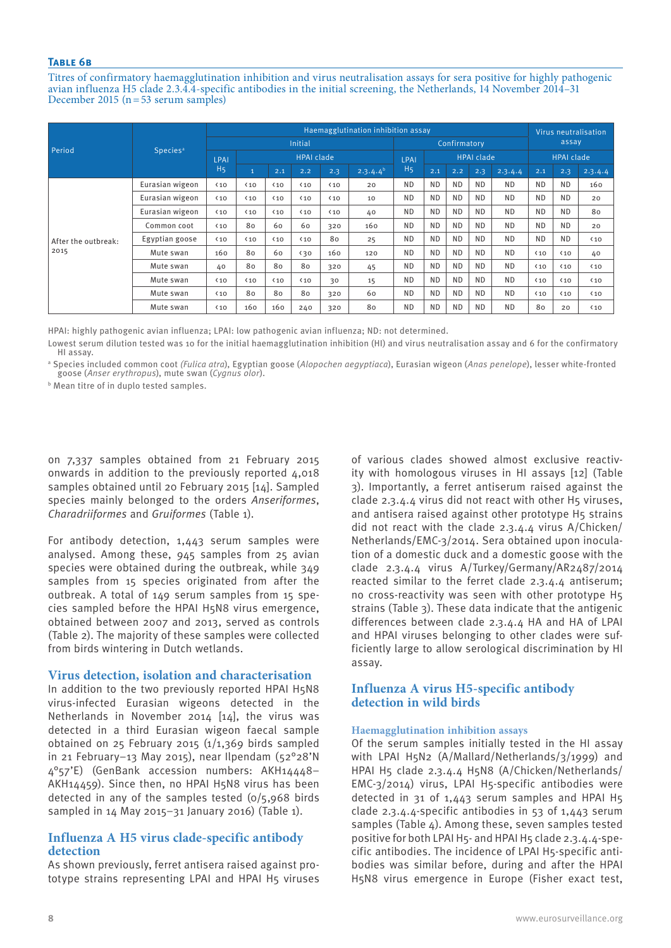## **Table 6b**

Titres of confirmatory haemagglutination inhibition and virus neutralisation assays for sera positive for highly pathogenic avian influenza H5 clade 2.3.4.4-specific antibodies in the initial screening, the Netherlands, 14 November 2014–31 December 2015 (n=53 serum samples)

|                     |                             | Haemagglutination inhibition assay |                   |                |              |              |               |                |              |           |                   |                   |              | Virus neutralisation |              |  |
|---------------------|-----------------------------|------------------------------------|-------------------|----------------|--------------|--------------|---------------|----------------|--------------|-----------|-------------------|-------------------|--------------|----------------------|--------------|--|
| Period              |                             |                                    |                   | <b>Initial</b> |              |              |               |                | Confirmatory |           |                   |                   | assay        |                      |              |  |
|                     | <b>Species</b> <sup>a</sup> | LPAI                               | <b>HPAI clade</b> |                |              |              |               |                |              |           | <b>HPAI clade</b> | <b>HPAI clade</b> |              |                      |              |  |
|                     |                             | H <sub>5</sub>                     | 11                | 2.1            | 2.2          | 2.3          | $2.3.4.4^{b}$ | H <sub>5</sub> | 2.1          | 2.2       | 2.3               | 2.3.4.4           | 2.1          | 2.3                  | 2.3.4.4      |  |
|                     | Eurasian wigeon             | $\langle 10$                       | $\langle 10$      | $\langle 10$   | $\langle 10$ | $\langle 10$ | 20            | <b>ND</b>      | <b>ND</b>    | <b>ND</b> | <b>ND</b>         | <b>ND</b>         | <b>ND</b>    | <b>ND</b>            | 160          |  |
|                     | Eurasian wigeon             | $\langle 10$                       | $\langle 10$      | $\langle 10$   | $\langle 10$ | $\langle 10$ | 10            | <b>ND</b>      | <b>ND</b>    | <b>ND</b> | <b>ND</b>         | <b>ND</b>         | <b>ND</b>    | <b>ND</b>            | 20           |  |
|                     | Eurasian wigeon             | $\langle 10$                       | $\langle 10$      | $10$           | $\langle 10$ | $\langle 10$ | 40            | <b>ND</b>      | <b>ND</b>    | <b>ND</b> | <b>ND</b>         | <b>ND</b>         | <b>ND</b>    | <b>ND</b>            | 80           |  |
|                     | Common coot                 | $\langle 10$                       | 80                | 60             | 60           | 320          | 160           | <b>ND</b>      | <b>ND</b>    | <b>ND</b> | <b>ND</b>         | <b>ND</b>         | <b>ND</b>    | <b>ND</b>            | 20           |  |
| After the outbreak: | Egyptian goose              | $\langle 10$                       | $\langle 10$      | $\langle 10$   | $\langle 10$ | 80           | 25            | <b>ND</b>      | <b>ND</b>    | <b>ND</b> | N <sub>D</sub>    | <b>ND</b>         | <b>ND</b>    | <b>ND</b>            | $\langle 10$ |  |
| 2015                | Mute swan                   | 160                                | 80                | 60             | $\langle 30$ | 160          | 120           | <b>ND</b>      | <b>ND</b>    | ND.       | ND.               | <b>ND</b>         | $\langle 10$ | $\langle 10$         | 40           |  |
|                     | Mute swan                   | 40                                 | 80                | 80             | 80           | 320          | 45            | <b>ND</b>      | <b>ND</b>    | <b>ND</b> | <b>ND</b>         | <b>ND</b>         | $\langle 10$ | $\langle 10$         | $\langle 10$ |  |
|                     | Mute swan                   | $\langle 10$                       | $\langle 10$      | $\langle 10$   | $\langle 10$ | 30           | 15            | <b>ND</b>      | <b>ND</b>    | <b>ND</b> | <b>ND</b>         | <b>ND</b>         | $\langle 10$ | $\langle 10$         | $\langle 10$ |  |
|                     | Mute swan                   | $\langle 10$                       | 80                | 80             | 80           | 320          | 60            | <b>ND</b>      | <b>ND</b>    | <b>ND</b> | <b>ND</b>         | <b>ND</b>         | $\langle 10$ | $\langle 10$         | $\langle 10$ |  |
|                     | Mute swan                   | $\langle 10$                       | 160               | 160            | 240          | 320          | 80            | <b>ND</b>      | <b>ND</b>    | <b>ND</b> | <b>ND</b>         | <b>ND</b>         | 80           | 20                   | $\langle 10$ |  |

HPAI: highly pathogenic avian influenza; LPAI: low pathogenic avian influenza; ND: not determined.

Lowest serum dilution tested was 10 for the initial haemagglutination inhibition (HI) and virus neutralisation assay and 6 for the confirmatory HI assay.

a Species included common coot *(Fulica atra*), Egyptian goose (*Alopochen aegyptiaca*), Eurasian wigeon (*Anas penelope*), lesser white-fronted goose (*Anser erythropus*), mute swan (*Cygnus olor*).

b Mean titre of in duplo tested samples.

on 7,337 samples obtained from 21 February 2015 onwards in addition to the previously reported 4,018 samples obtained until 20 February 2015 [14]. Sampled species mainly belonged to the orders *Anseriformes*, *Charadriiformes* and *Gruiformes* (Table 1).

For antibody detection, 1,443 serum samples were analysed. Among these, 945 samples from 25 avian species were obtained during the outbreak, while 349 samples from 15 species originated from after the outbreak. A total of 149 serum samples from 15 species sampled before the HPAI H5N8 virus emergence, obtained between 2007 and 2013, served as controls (Table 2). The majority of these samples were collected from birds wintering in Dutch wetlands.

## **Virus detection, isolation and characterisation**

In addition to the two previously reported HPAI H5N8 virus-infected Eurasian wigeons detected in the Netherlands in November 2014 [14], the virus was detected in a third Eurasian wigeon faecal sample obtained on 25 February 2015 (1/1,369 birds sampled in 21 February–13 May 2015), near Ilpendam (52°28'N 4°57'E) (GenBank accession numbers: AKH14448– AKH14459). Since then, no HPAI H5N8 virus has been detected in any of the samples tested (0/5,968 birds sampled in 14 May 2015–31 January 2016) (Table 1).

## **Influenza A H5 virus clade-specific antibody detection**

As shown previously, ferret antisera raised against prototype strains representing LPAI and HPAI H5 viruses of various clades showed almost exclusive reactivity with homologous viruses in HI assays [12] (Table 3). Importantly, a ferret antiserum raised against the clade 2.3.4.4 virus did not react with other H5 viruses, and antisera raised against other prototype H5 strains did not react with the clade 2.3.4.4 virus A/Chicken/ Netherlands/EMC-3/2014. Sera obtained upon inoculation of a domestic duck and a domestic goose with the clade 2.3.4.4 virus A/Turkey/Germany/AR2487/2014 reacted similar to the ferret clade 2.3.4.4 antiserum; no cross-reactivity was seen with other prototype H5 strains (Table 3). These data indicate that the antigenic differences between clade 2.3.4.4 HA and HA of LPAI and HPAI viruses belonging to other clades were sufficiently large to allow serological discrimination by HI assay.

## **Influenza A virus H5-specific antibody detection in wild birds**

#### **Haemagglutination inhibition assays**

Of the serum samples initially tested in the HI assay with LPAI H5N2 (A/Mallard/Netherlands/3/1999) and HPAI H5 clade 2.3.4.4 H5N8 (A/Chicken/Netherlands/ EMC-3/2014) virus, LPAI H5-specific antibodies were detected in 31 of 1,443 serum samples and HPAI H5 clade 2.3.4.4-specific antibodies in 53 of 1,443 serum samples (Table  $\Delta$ ). Among these, seven samples tested positive for both LPAI H5- and HPAI H5 clade 2.3.4.4-specific antibodies. The incidence of LPAI H5-specific antibodies was similar before, during and after the HPAI H5N8 virus emergence in Europe (Fisher exact test,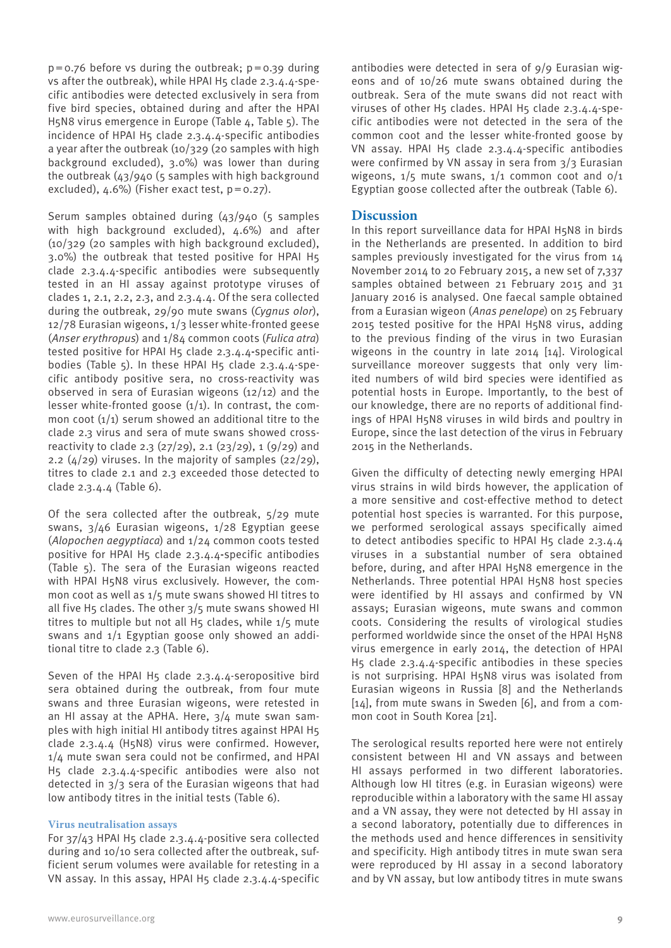$p = 0.76$  before vs during the outbreak;  $p = 0.39$  during vs after the outbreak), while HPAI H5 clade 2.3.4.4-specific antibodies were detected exclusively in sera from five bird species, obtained during and after the HPAI H5N8 virus emergence in Europe (Table 4, Table 5). The incidence of HPAI H5 clade 2.3.4.4-specific antibodies a year after the outbreak (10/329 (20 samples with high background excluded), 3.0%) was lower than during the outbreak (43/940 (5 samples with high background excluded),  $4.6\%$ ) (Fisher exact test,  $p=0.27$ ).

Serum samples obtained during (43/940 (5 samples with high background excluded), 4.6%) and after (10/329 (20 samples with high background excluded), 3.0%) the outbreak that tested positive for HPAI H5 clade 2.3.4.4-specific antibodies were subsequently tested in an HI assay against prototype viruses of clades 1, 2.1, 2.2, 2.3, and 2.3.4.4. Of the sera collected during the outbreak, 29/90 mute swans (*Cygnus olor*), 12/78 Eurasian wigeons, 1/3 lesser white-fronted geese (*Anser erythropus*) and 1/84 common coots (*Fulica atra*) tested positive for HPAI H5 clade 2.3.4.4-specific antibodies (Table 5). In these HPAI H5 clade 2.3.4.4-specific antibody positive sera, no cross-reactivity was observed in sera of Eurasian wigeons (12/12) and the lesser white-fronted goose  $(1/1)$ . In contrast, the common coot  $(1/1)$  serum showed an additional titre to the clade 2.3 virus and sera of mute swans showed crossreactivity to clade 2.3 (27/29), 2.1 (23/29), 1 (9/29) and 2.2  $(4/29)$  viruses. In the majority of samples  $(22/29)$ , titres to clade 2.1 and 2.3 exceeded those detected to clade 2.3.4.4 (Table 6).

Of the sera collected after the outbreak, 5/29 mute swans, 3/46 Eurasian wigeons, 1/28 Egyptian geese (*Alopochen aegyptiaca*) and 1/24 common coots tested positive for HPAI H5 clade 2.3.4.4-specific antibodies (Table 5). The sera of the Eurasian wigeons reacted with HPAI H5N8 virus exclusively. However, the common coot as well as 1/5 mute swans showed HI titres to all five H5 clades. The other 3/5 mute swans showed HI titres to multiple but not all  $H_5$  clades, while  $1/5$  mute swans and 1/1 Egyptian goose only showed an additional titre to clade 2.3 (Table 6).

Seven of the HPAI H5 clade  $2.3.4.4$ -seropositive bird sera obtained during the outbreak, from four mute swans and three Eurasian wigeons, were retested in an HI assay at the APHA. Here,  $3/4$  mute swan samples with high initial HI antibody titres against HPAI H5 clade 2.3.4.4 (H5N8) virus were confirmed. However, 1/4 mute swan sera could not be confirmed, and HPAI H5 clade 2.3.4.4-specific antibodies were also not detected in 3/3 sera of the Eurasian wigeons that had low antibody titres in the initial tests (Table 6).

#### **Virus neutralisation assays**

For 37/43 HPAI H5 clade 2.3.4.4-positive sera collected during and 10/10 sera collected after the outbreak, sufficient serum volumes were available for retesting in a VN assay. In this assay, HPAI H5 clade 2.3.4.4-specific

antibodies were detected in sera of 9/9 Eurasian wigeons and of 10/26 mute swans obtained during the outbreak. Sera of the mute swans did not react with viruses of other H5 clades. HPAI H5 clade 2.3.4.4-specific antibodies were not detected in the sera of the common coot and the lesser white-fronted goose by VN assay. HPAI H5 clade 2.3.4.4-specific antibodies were confirmed by VN assay in sera from 3/3 Eurasian wigeons,  $1/5$  mute swans,  $1/1$  common coot and  $0/1$ Egyptian goose collected after the outbreak (Table 6).

## **Discussion**

In this report surveillance data for HPAI H5N8 in birds in the Netherlands are presented. In addition to bird samples previously investigated for the virus from 14 November 2014 to 20 February 2015, a new set of 7,337 samples obtained between 21 February 2015 and 31 January 2016 is analysed. One faecal sample obtained from a Eurasian wigeon (*Anas penelope*) on 25 February 2015 tested positive for the HPAI H5N8 virus, adding to the previous finding of the virus in two Eurasian wigeons in the country in late 2014 [14]. Virological surveillance moreover suggests that only very limited numbers of wild bird species were identified as potential hosts in Europe. Importantly, to the best of our knowledge, there are no reports of additional findings of HPAI H5N8 viruses in wild birds and poultry in Europe, since the last detection of the virus in February 2015 in the Netherlands.

Given the difficulty of detecting newly emerging HPAI virus strains in wild birds however, the application of a more sensitive and cost-effective method to detect potential host species is warranted. For this purpose, we performed serological assays specifically aimed to detect antibodies specific to HPAI H5 clade 2.3.4.4 viruses in a substantial number of sera obtained before, during, and after HPAI H5N8 emergence in the Netherlands. Three potential HPAI H5N8 host species were identified by HI assays and confirmed by VN assays; Eurasian wigeons, mute swans and common coots. Considering the results of virological studies performed worldwide since the onset of the HPAI H5N8 virus emergence in early 2014, the detection of HPAI H5 clade 2.3.4.4-specific antibodies in these species is not surprising. HPAI H5N8 virus was isolated from Eurasian wigeons in Russia [8] and the Netherlands [14], from mute swans in Sweden [6], and from a common coot in South Korea [21].

The serological results reported here were not entirely consistent between HI and VN assays and between HI assays performed in two different laboratories. Although low HI titres (e.g. in Eurasian wigeons) were reproducible within a laboratory with the same HI assay and a VN assay, they were not detected by HI assay in a second laboratory, potentially due to differences in the methods used and hence differences in sensitivity and specificity. High antibody titres in mute swan sera were reproduced by HI assay in a second laboratory and by VN assay, but low antibody titres in mute swans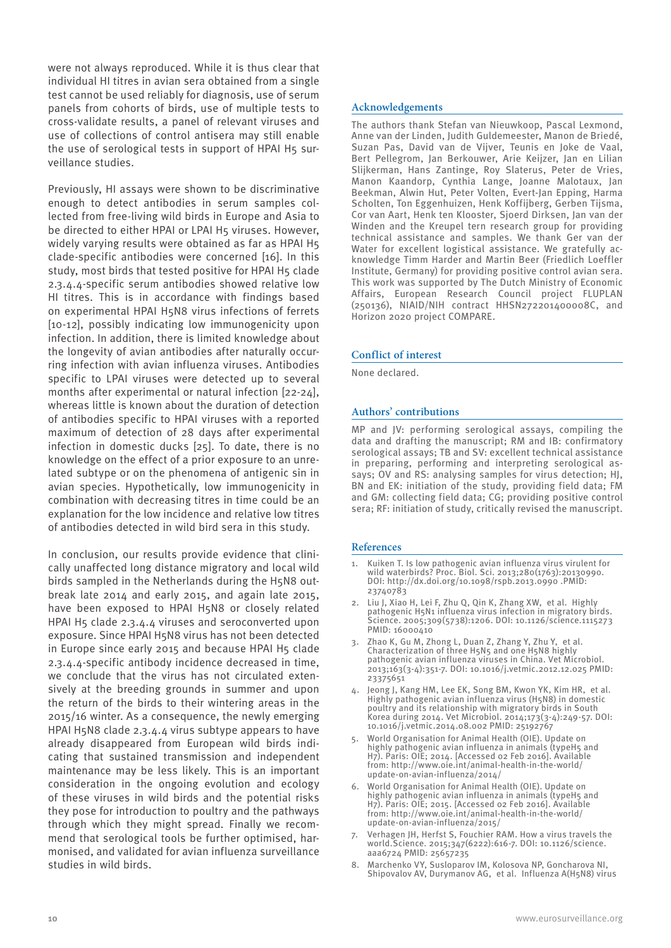were not always reproduced. While it is thus clear that individual HI titres in avian sera obtained from a single test cannot be used reliably for diagnosis, use of serum panels from cohorts of birds, use of multiple tests to cross-validate results, a panel of relevant viruses and use of collections of control antisera may still enable the use of serological tests in support of HPAI H5 surveillance studies.

Previously, HI assays were shown to be discriminative enough to detect antibodies in serum samples collected from free-living wild birds in Europe and Asia to be directed to either HPAI or LPAI H5 viruses. However, widely varying results were obtained as far as HPAI H5 clade-specific antibodies were concerned [16]. In this study, most birds that tested positive for HPAI H5 clade 2.3.4.4-specific serum antibodies showed relative low HI titres. This is in accordance with findings based on experimental HPAI H5N8 virus infections of ferrets [10-12], possibly indicating low immunogenicity upon infection. In addition, there is limited knowledge about the longevity of avian antibodies after naturally occurring infection with avian influenza viruses. Antibodies specific to LPAI viruses were detected up to several months after experimental or natural infection [22-24], whereas little is known about the duration of detection of antibodies specific to HPAI viruses with a reported maximum of detection of 28 days after experimental infection in domestic ducks [25]. To date, there is no knowledge on the effect of a prior exposure to an unrelated subtype or on the phenomena of antigenic sin in avian species. Hypothetically, low immunogenicity in combination with decreasing titres in time could be an explanation for the low incidence and relative low titres of antibodies detected in wild bird sera in this study.

In conclusion, our results provide evidence that clinically unaffected long distance migratory and local wild birds sampled in the Netherlands during the H5N8 outbreak late 2014 and early 2015, and again late 2015, have been exposed to HPAI H5N8 or closely related HPAI H5 clade 2.3.4.4 viruses and seroconverted upon exposure. Since HPAI H5N8 virus has not been detected in Europe since early 2015 and because HPAI H5 clade 2.3.4.4-specific antibody incidence decreased in time, we conclude that the virus has not circulated extensively at the breeding grounds in summer and upon the return of the birds to their wintering areas in the 2015/16 winter. As a consequence, the newly emerging HPAI H5N8 clade 2.3.4.4 virus subtype appears to have already disappeared from European wild birds indicating that sustained transmission and independent maintenance may be less likely. This is an important consideration in the ongoing evolution and ecology of these viruses in wild birds and the potential risks they pose for introduction to poultry and the pathways through which they might spread. Finally we recommend that serological tools be further optimised, harmonised, and validated for avian influenza surveillance studies in wild birds.

The authors thank Stefan van Nieuwkoop, Pascal Lexmond, Anne van der Linden, Judith Guldemeester, Manon de Briedé, Suzan Pas, David van de Vijver, Teunis en Joke de Vaal, Bert Pellegrom, Jan Berkouwer, Arie Keijzer, Jan en Lilian Slijkerman, Hans Zantinge, Roy Slaterus, Peter de Vries, Manon Kaandorp, Cynthia Lange, Joanne Malotaux, Jan Beekman, Alwin Hut, Peter Volten, Evert-Jan Epping, Harma Scholten, Ton Eggenhuizen, Henk Koffijberg, Gerben Tijsma, Cor van Aart, Henk ten Klooster, Sjoerd Dirksen, Jan van der Winden and the Kreupel tern research group for providing technical assistance and samples. We thank Ger van der Water for excellent logistical assistance. We gratefully acknowledge Timm Harder and Martin Beer (Friedlich Loeffler Institute, Germany) for providing positive control avian sera. This work was supported by The Dutch Ministry of Economic Affairs, European Research Council project FLUPLAN (250136), NIAID/NIH contract HHSN272201400008C, and Horizon 2020 project COMPARE.

#### **Conflict of interest**

None declared.

#### **Authors' contributions**

MP and JV: performing serological assays, compiling the data and drafting the manuscript; RM and IB: confirmatory serological assays; TB and SV: excellent technical assistance in preparing, performing and interpreting serological assays; OV and RS: analysing samples for virus detection; HJ, BN and EK: initiation of the study, providing field data; FM and GM: collecting field data; CG; providing positive control sera; RF: initiation of study, critically revised the manuscript.

#### **References**

- 1. Kuiken T. Is low pathogenic avian influenza virus virulent for wild waterbirds? Proc. Biol. Sci. 2013;280(1763):20130990. DOI: http://dx.doi.org/10.1098/rspb.2013.0990 .PMID: 23740783
- 2. Liu J, Xiao H, Lei F, Zhu Q, Qin K, Zhang XW, et al. Highly pathogenic H5N1 influenza virus infection in migratory birds. Science. 2005;309(5738):1206. DOI: 10.1126/science.1115273 PMID: 16000410
- 3. Zhao K, Gu M, Zhong L, Duan Z, Zhang Y, Zhu Y, et al. Characterization of three H5N5 and one H5N8 highly pathogenic avian influenza viruses in China. Vet Microbiol. 2013;163(3-4):351-7. DOI: 10.1016/j.vetmic.2012.12.025 PMID: 23375651
- 4. Jeong J, Kang HM, Lee EK, Song BM, Kwon YK, Kim HR, et al. Highly pathogenic avian influenza virus (H5N8) in domestic poultry and its relationship with migratory birds in South Korea during 2014. Vet Microbiol. 2014;173(3-4):249-57. DOI: 10.1016/j.vetmic.2014.08.002 PMID: 25192767
- 5. World Organisation for Animal Health (OIE). Update on highly pathogenic avian influenza in animals (typeH5 and H7). Paris: OIE; 2014. [Accessed 02 Feb 2016]. Available from: http://www.oie.int/animal-health-in-the-world/ update-on-avian-influenza/2014/
- 6. World Organisation for Animal Health (OIE). Update on highly pathogenic avian influenza in animals (typeH5 and H7). Paris: OIE; 2015. [Accessed 02 Feb 2016]. Available from: http://www.oie.int/animal-health-in-the-world/ update-on-avian-influenza/2015/
- 7. Verhagen JH, Herfst S, Fouchier RAM. How a virus travels the world.Science. 2015;347(6222):616-7. DOI: 10.1126/science. aaa6724 PMID: 25657235
- 8. Marchenko VY, Susloparov IM, Kolosova NP, Goncharova NI, Shipovalov AV, Durymanov AG, et al. Influenza A(H5N8) virus